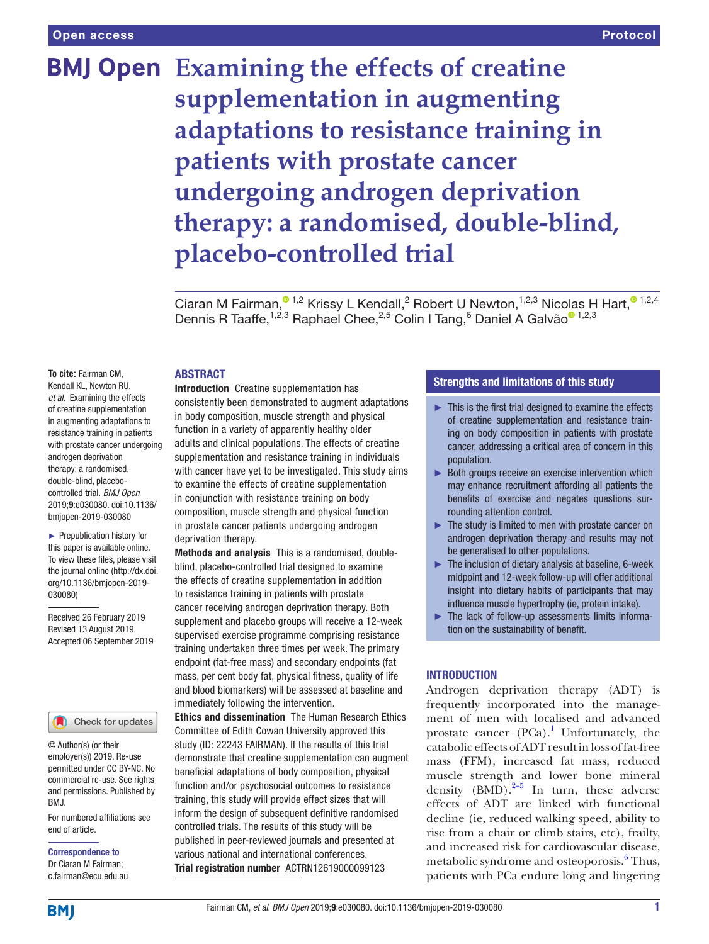# **BMJ Open** Examining the effects of creatine **supplementation in augmenting adaptations to resistance training in patients with prostate cancer undergoing androgen deprivation therapy: a randomised, double-blind, placebo-controlled trial**

Ciaran M Fairman[,](http://orcid.org/0000-0001-8834-9669)  $\bullet$  1,2 Krissy L Kendall, 2 Robert U Newton,  $1,2,3$  Nicolas H Hart,  $\bullet$  1,2,4 Dennis R Taaffe,<sup>1,2,3</sup> Raphael Chee,<sup>2,5</sup> C[o](http://orcid.org/0000-0002-8209-2281)lin I Tang,<sup>6</sup> Daniel A Galvão<sup>® 1,2,3</sup>

# **ABSTRACT**

**To cite:** Fairman CM, Kendall KL, Newton RU, *et al*. Examining the effects of creatine supplementation in augmenting adaptations to resistance training in patients with prostate cancer undergoing androgen deprivation therapy: a randomised, double-blind, placebocontrolled trial. *BMJ Open* 2019;9:e030080. doi:10.1136/ bmjopen-2019-030080

► Prepublication history for this paper is available online. To view these files, please visit the journal online (http://dx.doi. org/10.1136/bmjopen-2019- 030080)

Received 26 February 2019 Revised 13 August 2019 Accepted 06 September 2019



© Author(s) (or their employer(s)) 2019. Re-use permitted under CC BY-NC. No commercial re-use. See rights and permissions. Published by BMJ.

For numbered affiliations see end of article.

Correspondence to Dr Ciaran M Fairman; c.fairman@ecu.edu.au

Introduction Creatine supplementation has consistently been demonstrated to augment adaptations in body composition, muscle strength and physical function in a variety of apparently healthy older adults and clinical populations. The effects of creatine supplementation and resistance training in individuals with cancer have yet to be investigated. This study aims to examine the effects of creatine supplementation in conjunction with resistance training on body composition, muscle strength and physical function in prostate cancer patients undergoing androgen deprivation therapy.

Methods and analysis This is a randomised, doubleblind, placebo-controlled trial designed to examine the effects of creatine supplementation in addition to resistance training in patients with prostate cancer receiving androgen deprivation therapy. Both supplement and placebo groups will receive a 12-week supervised exercise programme comprising resistance training undertaken three times per week. The primary endpoint (fat-free mass) and secondary endpoints (fat mass, per cent body fat, physical fitness, quality of life and blood biomarkers) will be assessed at baseline and immediately following the intervention.

Ethics and dissemination The Human Research Ethics Committee of Edith Cowan University approved this study (ID: 22243 FAIRMAN). If the results of this trial demonstrate that creatine supplementation can augment beneficial adaptations of body composition, physical function and/or psychosocial outcomes to resistance training, this study will provide effect sizes that will inform the design of subsequent definitive randomised controlled trials. The results of this study will be published in peer-reviewed journals and presented at various national and international conferences. Trial registration number ACTRN12619000099123

# Strengths and limitations of this study

- ► This is the first trial designed to examine the effects of creatine supplementation and resistance training on body composition in patients with prostate cancer, addressing a critical area of concern in this population.
- ► Both groups receive an exercise intervention which may enhance recruitment affording all patients the benefits of exercise and negates questions surrounding attention control.
- $\blacktriangleright$  The study is limited to men with prostate cancer on androgen deprivation therapy and results may not be generalised to other populations.
- ► The inclusion of dietary analysis at baseline, 6-week midpoint and 12-week follow-up will offer additional insight into dietary habits of participants that may influence muscle hypertrophy (ie, protein intake).
- ► The lack of follow-up assessments limits information on the sustainability of benefit.

# **INTRODUCTION**

Androgen deprivation therapy (ADT) is frequently incorporated into the management of men with localised and advanced prostate cancer  $(PCa)$ .<sup>[1](#page-7-0)</sup> Unfortunately, the catabolic effects of ADT result in loss of fat-free mass (FFM), increased fat mass, reduced muscle strength and lower bone mineral density  $(BMD)$ .<sup>[2–5](#page-7-1)</sup> In turn, these adverse effects of ADT are linked with functional decline (ie, reduced walking speed, ability to rise from a chair or climb stairs, etc), frailty, and increased risk for cardiovascular disease, metabolic syndrome and osteoporosis.<sup>6</sup> Thus, patients with PCa endure long and lingering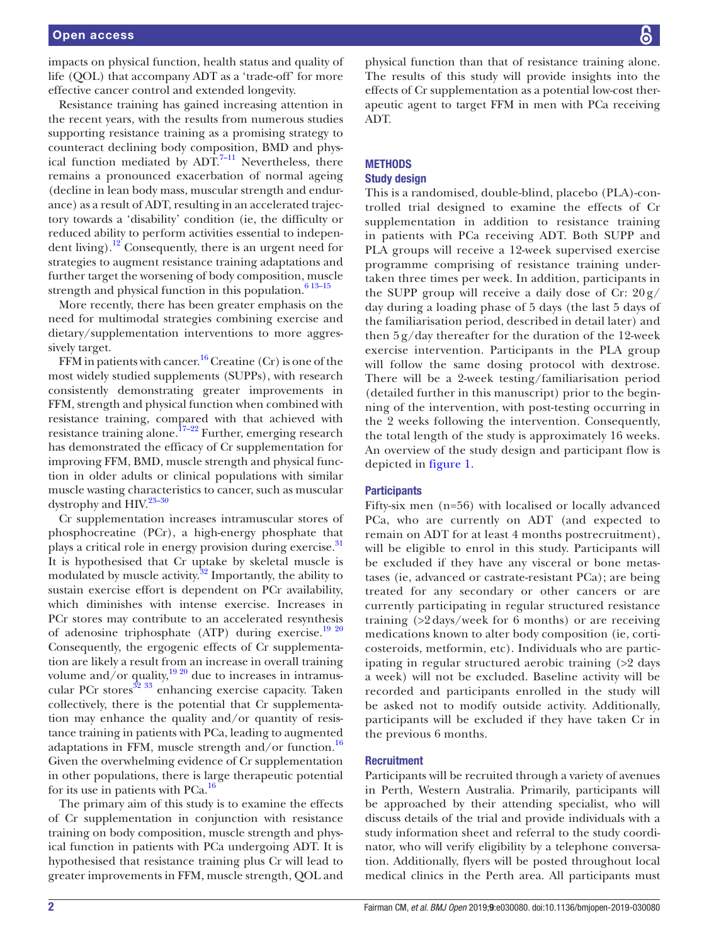impacts on physical function, health status and quality of life (QOL) that accompany ADT as a 'trade-off' for more effective cancer control and extended longevity.

Resistance training has gained increasing attention in the recent years, with the results from numerous studies supporting resistance training as a promising strategy to counteract declining body composition, BMD and physical function mediated by  $ADT$ .<sup>[7–11](#page-7-3)</sup> Nevertheless, there remains a pronounced exacerbation of normal ageing (decline in lean body mass, muscular strength and endurance) as a result of ADT, resulting in an accelerated trajectory towards a 'disability' condition (ie, the difficulty or reduced ability to perform activities essential to independent living).<sup>12</sup> Consequently, there is an urgent need for strategies to augment resistance training adaptations and further target the worsening of body composition, muscle strength and physical function in this population. $613-15$ 

More recently, there has been greater emphasis on the need for multimodal strategies combining exercise and dietary/supplementation interventions to more aggressively target.

FFM in patients with cancer.<sup>[16](#page-7-5)</sup> Creatine (Cr) is one of the most widely studied supplements (SUPPs), with research consistently demonstrating greater improvements in FFM, strength and physical function when combined with resistance training, compared with that achieved with resistance training alone.<sup>17–22</sup> Further, emerging research has demonstrated the efficacy of Cr supplementation for improving FFM, BMD, muscle strength and physical function in older adults or clinical populations with similar muscle wasting characteristics to cancer, such as muscular dystrophy and HIV.<sup>23-30</sup>

Cr supplementation increases intramuscular stores of phosphocreatine (PCr), a high-energy phosphate that plays a critical role in energy provision during exercise.<sup>31</sup> It is hypothesised that Cr uptake by skeletal muscle is modulated by muscle activity. $32$  Importantly, the ability to sustain exercise effort is dependent on PCr availability, which diminishes with intense exercise. Increases in PCr stores may contribute to an accelerated resynthesis of adenosine triphosphate (ATP) during exercise.<sup>19</sup> <sup>20</sup> Consequently, the ergogenic effects of Cr supplementation are likely a result from an increase in overall training volume and/or quality, $1920$  due to increases in intramuscular PCr stores<sup>32</sup> 33 enhancing exercise capacity. Taken collectively, there is the potential that Cr supplementation may enhance the quality and/or quantity of resistance training in patients with PCa, leading to augmented adaptations in FFM, muscle strength and/or function.<sup>[16](#page-7-5)</sup> Given the overwhelming evidence of Cr supplementation in other populations, there is large therapeutic potential for its use in patients with  $PCa.<sup>16</sup>$ 

The primary aim of this study is to examine the effects of Cr supplementation in conjunction with resistance training on body composition, muscle strength and physical function in patients with PCa undergoing ADT. It is hypothesised that resistance training plus Cr will lead to greater improvements in FFM, muscle strength, QOL and

physical function than that of resistance training alone. The results of this study will provide insights into the effects of Cr supplementation as a potential low-cost therapeutic agent to target FFM in men with PCa receiving ADT.

#### **METHODS** Study design

# This is a randomised, double-blind, placebo (PLA)-controlled trial designed to examine the effects of Cr supplementation in addition to resistance training in patients with PCa receiving ADT. Both SUPP and PLA groups will receive a 12-week supervised exercise programme comprising of resistance training undertaken three times per week. In addition, participants in the SUPP group will receive a daily dose of Cr:  $20 g$ / day during a loading phase of 5 days (the last 5 days of the familiarisation period, described in detail later) and then 5 g/day thereafter for the duration of the 12-week exercise intervention. Participants in the PLA group will follow the same dosing protocol with dextrose. There will be a 2-week testing/familiarisation period (detailed further in this manuscript) prior to the beginning of the intervention, with post-testing occurring in the 2 weeks following the intervention. Consequently, the total length of the study is approximately 16 weeks. An overview of the study design and participant flow is depicted in [figure](#page-2-0) 1.

# **Participants**

Fifty-six men (n=56) with localised or locally advanced PCa, who are currently on ADT (and expected to remain on ADT for at least 4 months postrecruitment), will be eligible to enrol in this study. Participants will be excluded if they have any visceral or bone metastases (ie, advanced or castrate-resistant PCa); are being treated for any secondary or other cancers or are currently participating in regular structured resistance training (>2 days/week for 6 months) or are receiving medications known to alter body composition (ie, corticosteroids, metformin, etc). Individuals who are participating in regular structured aerobic training (>2 days a week) will not be excluded. Baseline activity will be recorded and participants enrolled in the study will be asked not to modify outside activity. Additionally, participants will be excluded if they have taken Cr in the previous 6 months.

# **Recruitment**

Participants will be recruited through a variety of avenues in Perth, Western Australia. Primarily, participants will be approached by their attending specialist, who will discuss details of the trial and provide individuals with a study information sheet and referral to the study coordinator, who will verify eligibility by a telephone conversation. Additionally, flyers will be posted throughout local medical clinics in the Perth area. All participants must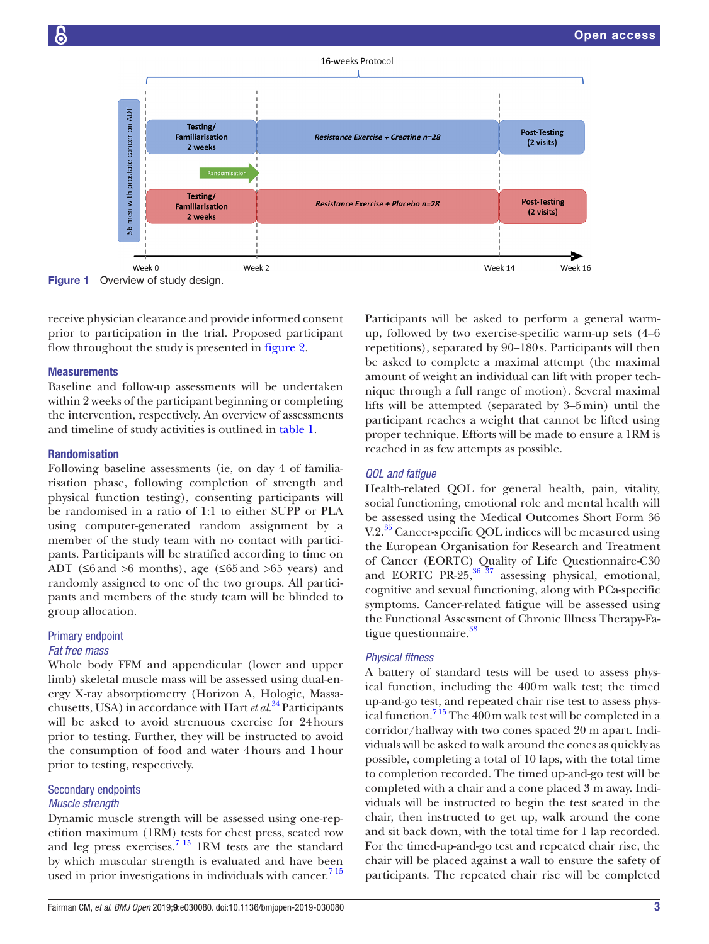

<span id="page-2-0"></span>Figure 1 Overview of study design.

receive physician clearance and provide informed consent prior to participation in the trial. Proposed participant flow throughout the study is presented in [figure](#page-3-0) 2.

# **Measurements**

Baseline and follow-up assessments will be undertaken within 2 weeks of the participant beginning or completing the intervention, respectively. An overview of assessments and timeline of study activities is outlined in [table](#page-4-0) 1.

#### Randomisation

Following baseline assessments (ie, on day 4 of familiarisation phase, following completion of strength and physical function testing), consenting participants will be randomised in a ratio of 1:1 to either SUPP or PLA using computer-generated random assignment by a member of the study team with no contact with participants. Participants will be stratified according to time on ADT ( $\leq$ 6 and  $>$ 6 months), age ( $\leq$ 65 and  $\geq$ 65 years) and randomly assigned to one of the two groups. All participants and members of the study team will be blinded to group allocation.

# Primary endpoint *Fat free mass*

Whole body FFM and appendicular (lower and upper limb) skeletal muscle mass will be assessed using dual-energy X-ray absorptiometry (Horizon A, Hologic, Massachusetts, USA) in accordance with Hart *et al*. [34](#page-8-2) Participants will be asked to avoid strenuous exercise for 24hours prior to testing. Further, they will be instructed to avoid the consumption of food and water 4hours and 1hour prior to testing, respectively.

# Secondary endpoints *Muscle strength*

Dynamic muscle strength will be assessed using one-repetition maximum (1RM) tests for chest press, seated row and leg press exercises.<sup>7</sup> <sup>15</sup> 1RM tests are the standard by which muscular strength is evaluated and have been used in prior investigations in individuals with cancer.<sup>715</sup> Participants will be asked to perform a general warmup, followed by two exercise-specific warm-up sets (4–6 repetitions), separated by 90–180s. Participants will then be asked to complete a maximal attempt (the maximal amount of weight an individual can lift with proper technique through a full range of motion). Several maximal lifts will be attempted (separated by 3–5min) until the participant reaches a weight that cannot be lifted using proper technique. Efforts will be made to ensure a 1RM is reached in as few attempts as possible.

# *QOL and fatigue*

Health-related QOL for general health, pain, vitality, social functioning, emotional role and mental health will be assessed using the Medical Outcomes Short Form 36 V.2.<sup>35</sup> Cancer-specific QOL indices will be measured using the European Organisation for Research and Treatment of Cancer (EORTC) Quality of Life Questionnaire-C30 and EORTC PR-25,  $36\overline{3}7$  assessing physical, emotional, cognitive and sexual functioning, along with PCa-specific symptoms. Cancer-related fatigue will be assessed using the Functional Assessment of Chronic Illness Therapy-Fa-tigue questionnaire.<sup>[38](#page-8-5)</sup>

#### *Physical fitness*

A battery of standard tests will be used to assess physical function, including the 400m walk test; the timed up-and-go test, and repeated chair rise test to assess physical function.[7 15](#page-7-3) The 400m walk test will be completed in a corridor/hallway with two cones spaced 20 m apart. Individuals will be asked to walk around the cones as quickly as possible, completing a total of 10 laps, with the total time to completion recorded. The timed up-and-go test will be completed with a chair and a cone placed 3 m away. Individuals will be instructed to begin the test seated in the chair, then instructed to get up, walk around the cone and sit back down, with the total time for 1 lap recorded. For the timed-up-and-go test and repeated chair rise, the chair will be placed against a wall to ensure the safety of participants. The repeated chair rise will be completed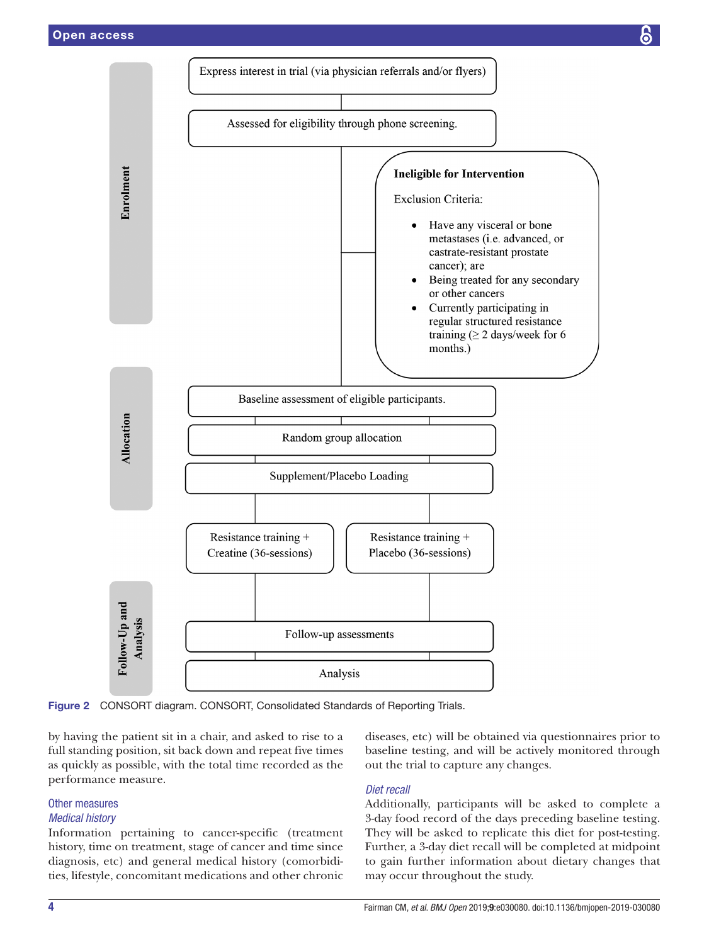

<span id="page-3-0"></span>Figure 2 CONSORT diagram. CONSORT, Consolidated Standards of Reporting Trials.

by having the patient sit in a chair, and asked to rise to a full standing position, sit back down and repeat five times as quickly as possible, with the total time recorded as the performance measure.

# Other measures

# *Medical history*

Information pertaining to cancer-specific (treatment history, time on treatment, stage of cancer and time since diagnosis, etc) and general medical history (comorbidities, lifestyle, concomitant medications and other chronic

diseases, etc) will be obtained via questionnaires prior to baseline testing, and will be actively monitored through out the trial to capture any changes.

# *Diet recall*

Additionally, participants will be asked to complete a 3-day food record of the days preceding baseline testing. They will be asked to replicate this diet for post-testing. Further, a 3-day diet recall will be completed at midpoint to gain further information about dietary changes that may occur throughout the study.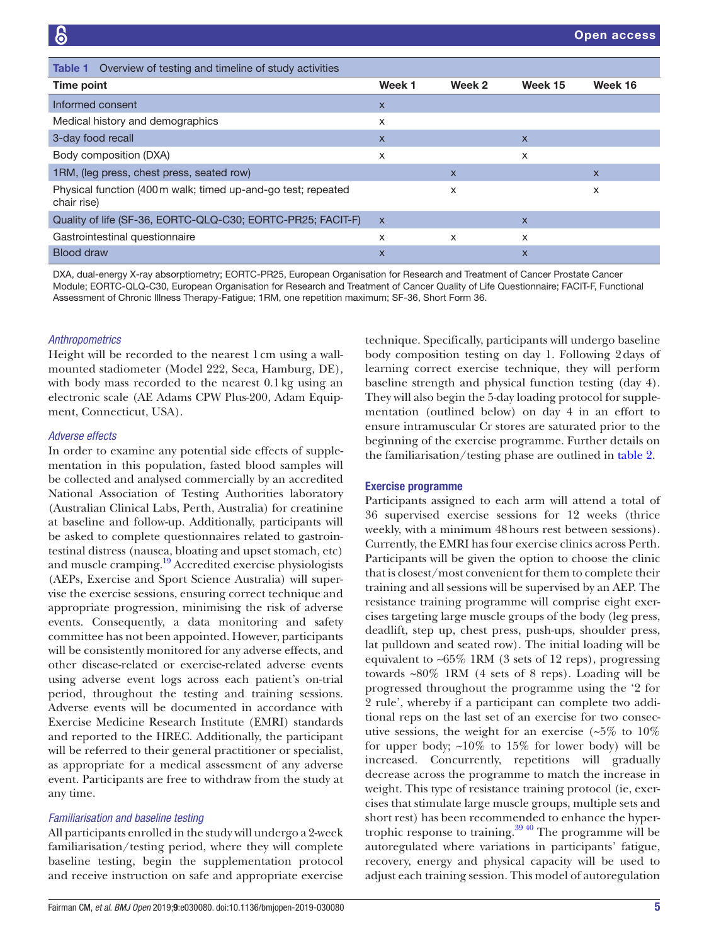<span id="page-4-0"></span>

| Overview of testing and timeline of study activities<br>Table 1              |                           |        |              |         |  |  |
|------------------------------------------------------------------------------|---------------------------|--------|--------------|---------|--|--|
| Time point                                                                   | Week 1                    | Week 2 | Week 15      | Week 16 |  |  |
| Informed consent                                                             | X                         |        |              |         |  |  |
| Medical history and demographics                                             | X                         |        |              |         |  |  |
| 3-day food recall                                                            | $\boldsymbol{\mathsf{X}}$ |        | $\mathsf{x}$ |         |  |  |
| Body composition (DXA)                                                       | X                         |        | X            |         |  |  |
| 1RM, (leg press, chest press, seated row)                                    |                           | X      |              | X       |  |  |
| Physical function (400 m walk; timed up-and-go test; repeated<br>chair rise) |                           | X      |              | X       |  |  |
| Quality of life (SF-36, EORTC-QLQ-C30; EORTC-PR25; FACIT-F)                  | $\mathsf{x}$              |        | $\mathsf{x}$ |         |  |  |
| Gastrointestinal questionnaire                                               | X                         | X      | X            |         |  |  |
| <b>Blood draw</b>                                                            | $\mathsf{x}$              |        | X            |         |  |  |

DXA, dual-energy X-ray absorptiometry; EORTC-PR25, European Organisation for Research and Treatment of Cancer Prostate Cancer Module; EORTC-QLQ-C30, European Organisation for Research and Treatment of Cancer Quality of Life Questionnaire; FACIT-F, Functional Assessment of Chronic Illness Therapy-Fatigue; 1RM, one repetition maximum; SF-36, Short Form 36.

#### *Anthropometrics*

Height will be recorded to the nearest 1cm using a wallmounted stadiometer (Model 222, Seca, Hamburg, DE), with body mass recorded to the nearest 0.1kg using an electronic scale (AE Adams CPW Plus-200, Adam Equipment, Connecticut, USA).

#### *Adverse effects*

In order to examine any potential side effects of supplementation in this population, fasted blood samples will be collected and analysed commercially by an accredited National Association of Testing Authorities laboratory (Australian Clinical Labs, Perth, Australia) for creatinine at baseline and follow-up. Additionally, participants will be asked to complete questionnaires related to gastrointestinal distress (nausea, bloating and upset stomach, etc) and muscle cramping.[19](#page-7-8) Accredited exercise physiologists (AEPs, Exercise and Sport Science Australia) will supervise the exercise sessions, ensuring correct technique and appropriate progression, minimising the risk of adverse events. Consequently, a data monitoring and safety committee has not been appointed. However, participants will be consistently monitored for any adverse effects, and other disease-related or exercise-related adverse events using adverse event logs across each patient's on-trial period, throughout the testing and training sessions. Adverse events will be documented in accordance with Exercise Medicine Research Institute (EMRI) standards and reported to the HREC. Additionally, the participant will be referred to their general practitioner or specialist, as appropriate for a medical assessment of any adverse event. Participants are free to withdraw from the study at any time.

#### *Familiarisation and baseline testing*

All participants enrolled in the study will undergo a 2-week familiarisation/testing period, where they will complete baseline testing, begin the supplementation protocol and receive instruction on safe and appropriate exercise

technique. Specifically, participants will undergo baseline body composition testing on day 1. Following 2days of learning correct exercise technique, they will perform baseline strength and physical function testing (day 4). They will also begin the 5-day loading protocol for supplementation (outlined below) on day 4 in an effort to ensure intramuscular Cr stores are saturated prior to the beginning of the exercise programme. Further details on the familiarisation/testing phase are outlined in [table](#page-5-0) 2.

#### Exercise programme

Participants assigned to each arm will attend a total of 36 supervised exercise sessions for 12 weeks (thrice weekly, with a minimum 48hours rest between sessions). Currently, the EMRI has four exercise clinics across Perth. Participants will be given the option to choose the clinic that is closest/most convenient for them to complete their training and all sessions will be supervised by an AEP. The resistance training programme will comprise eight exercises targeting large muscle groups of the body (leg press, deadlift, step up, chest press, push-ups, shoulder press, lat pulldown and seated row). The initial loading will be equivalent to  $~65\%$  1RM (3 sets of 12 reps), progressing towards ~80% 1RM (4 sets of 8 reps). Loading will be progressed throughout the programme using the '2 for 2 rule', whereby if a participant can complete two additional reps on the last set of an exercise for two consecutive sessions, the weight for an exercise  $(5\%$  to  $10\%$ for upper body;  $~10\%$  to 15% for lower body) will be increased. Concurrently, repetitions will gradually decrease across the programme to match the increase in weight. This type of resistance training protocol (ie, exercises that stimulate large muscle groups, multiple sets and short rest) has been recommended to enhance the hyper-trophic response to training.<sup>[39 40](#page-8-6)</sup> The programme will be autoregulated where variations in participants' fatigue, recovery, energy and physical capacity will be used to adjust each training session. This model of autoregulation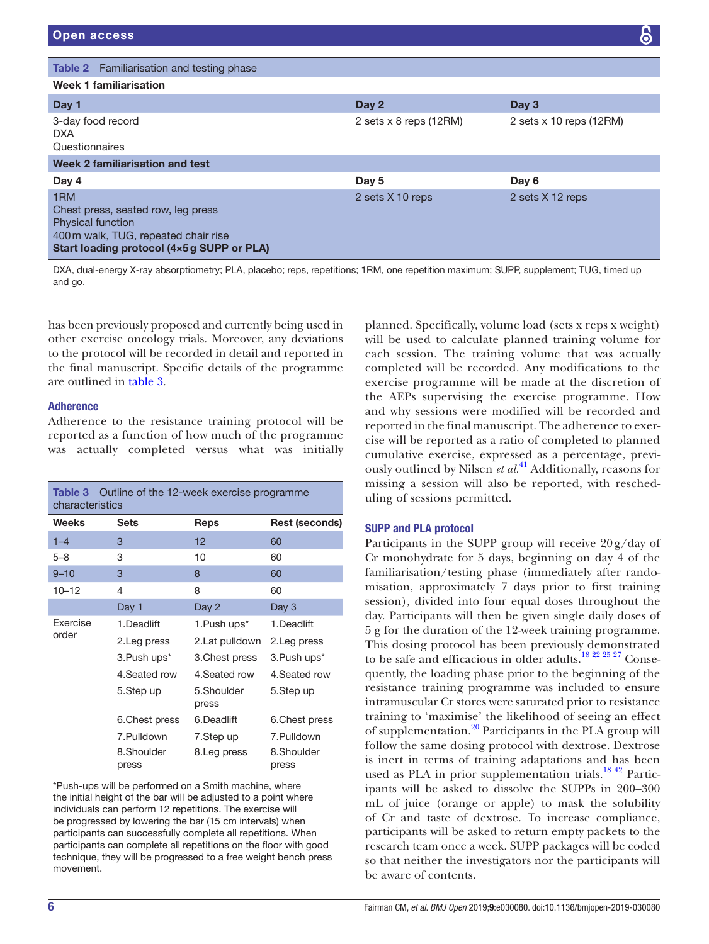Physical function

<span id="page-5-0"></span>

| Open access                                       |                        |                         | 6 |
|---------------------------------------------------|------------------------|-------------------------|---|
| <b>Table 2</b> Familiarisation and testing phase  |                        |                         |   |
| <b>Week 1 familiarisation</b>                     |                        |                         |   |
| Day 1                                             | Day 2                  | Day 3                   |   |
| 3-day food record<br><b>DXA</b><br>Questionnaires | 2 sets x 8 reps (12RM) | 2 sets x 10 reps (12RM) |   |
| <b>Week 2 familiarisation and test</b>            |                        |                         |   |
| Day 4                                             | Day 5                  | Day 6                   |   |
| 1RM<br>Chest press, seated row, leg press         | 2 sets X 10 reps       | 2 sets X 12 reps        |   |

400m walk, TUG, repeated chair rise Start loading protocol (4×5g SUPP or PLA)

DXA, dual-energy X-ray absorptiometry; PLA, placebo; reps, repetitions; 1RM, one repetition maximum; SUPP, supplement; TUG, timed up and go.

has been previously proposed and currently being used in other exercise oncology trials. Moreover, any deviations to the protocol will be recorded in detail and reported in the final manuscript. Specific details of the programme are outlined in [table](#page-5-1) 3.

# Adherence

Adherence to the resistance training protocol will be reported as a function of how much of the programme was actually completed versus what was initially

<span id="page-5-1"></span>

| <b>Table 3</b> Outline of the 12-week exercise programme<br>characteristics |                          |                         |                          |  |  |  |
|-----------------------------------------------------------------------------|--------------------------|-------------------------|--------------------------|--|--|--|
| <b>Weeks</b>                                                                | <b>Sets</b>              | Reps                    | Rest (seconds)           |  |  |  |
| $1 - 4$                                                                     | 3                        | $12 \overline{ }$       | 60                       |  |  |  |
| $5 - 8$                                                                     | 3                        | 10                      | 60                       |  |  |  |
| $9 - 10$                                                                    | 3                        | 8                       | 60                       |  |  |  |
| $10 - 12$                                                                   | 4                        | 8                       | 60                       |  |  |  |
|                                                                             | Day 1                    | Day 2                   | Day 3                    |  |  |  |
| <b>Fxercise</b><br>order                                                    | 1.Deadlift               | 1.Push ups <sup>*</sup> | 1.Deadlift               |  |  |  |
|                                                                             | 2. Leg press             | 2.Lat pulldown          | 2. Leg press             |  |  |  |
|                                                                             | 3. Push ups <sup>*</sup> | 3. Chest press          | 3. Push ups <sup>*</sup> |  |  |  |
|                                                                             | 4. Seated row            | 4. Seated row           | 4. Seated row            |  |  |  |
|                                                                             | 5.Step up                | 5.Shoulder<br>press     | 5.Step up                |  |  |  |
|                                                                             | 6. Chest press           | 6.Deadlift              | 6. Chest press           |  |  |  |
|                                                                             | 7.Pulldown               | 7.Step up               | 7.Pulldown               |  |  |  |
|                                                                             | 8.Shoulder<br>press      | 8.Leg press             | 8.Shoulder<br>press      |  |  |  |

\*Push-ups will be performed on a Smith machine, where the initial height of the bar will be adjusted to a point where individuals can perform 12 repetitions. The exercise will be progressed by lowering the bar (15 cm intervals) when participants can successfully complete all repetitions. When participants can complete all repetitions on the floor with good technique, they will be progressed to a free weight bench press movement.

planned. Specifically, volume load (sets x reps x weight) will be used to calculate planned training volume for each session. The training volume that was actually completed will be recorded. Any modifications to the exercise programme will be made at the discretion of the AEPs supervising the exercise programme. How and why sessions were modified will be recorded and reported in the final manuscript. The adherence to exercise will be reported as a ratio of completed to planned cumulative exercise, expressed as a percentage, previously outlined by Nilsen *et al*. [41](#page-8-7) Additionally, reasons for missing a session will also be reported, with rescheduling of sessions permitted.

# SUPP and PLA protocol

Participants in the SUPP group will receive  $20 \frac{\text{g}}{\text{day}}$  of Cr monohydrate for 5 days, beginning on day 4 of the familiarisation/testing phase (immediately after randomisation, approximately 7 days prior to first training session), divided into four equal doses throughout the day. Participants will then be given single daily doses of 5 g for the duration of the 12-week training programme. This dosing protocol has been previously demonstrated to be safe and efficacious in older adults.[18 22 25 27](#page-7-9) Consequently, the loading phase prior to the beginning of the resistance training programme was included to ensure intramuscular Cr stores were saturated prior to resistance training to 'maximise' the likelihood of seeing an effect of supplementation.<sup>20</sup> Participants in the PLA group will follow the same dosing protocol with dextrose. Dextrose is inert in terms of training adaptations and has been used as PLA in prior supplementation trials. $^{18\,42}$  Participants will be asked to dissolve the SUPPs in 200–300 mL of juice (orange or apple) to mask the solubility of Cr and taste of dextrose. To increase compliance, participants will be asked to return empty packets to the research team once a week. SUPP packages will be coded so that neither the investigators nor the participants will be aware of contents.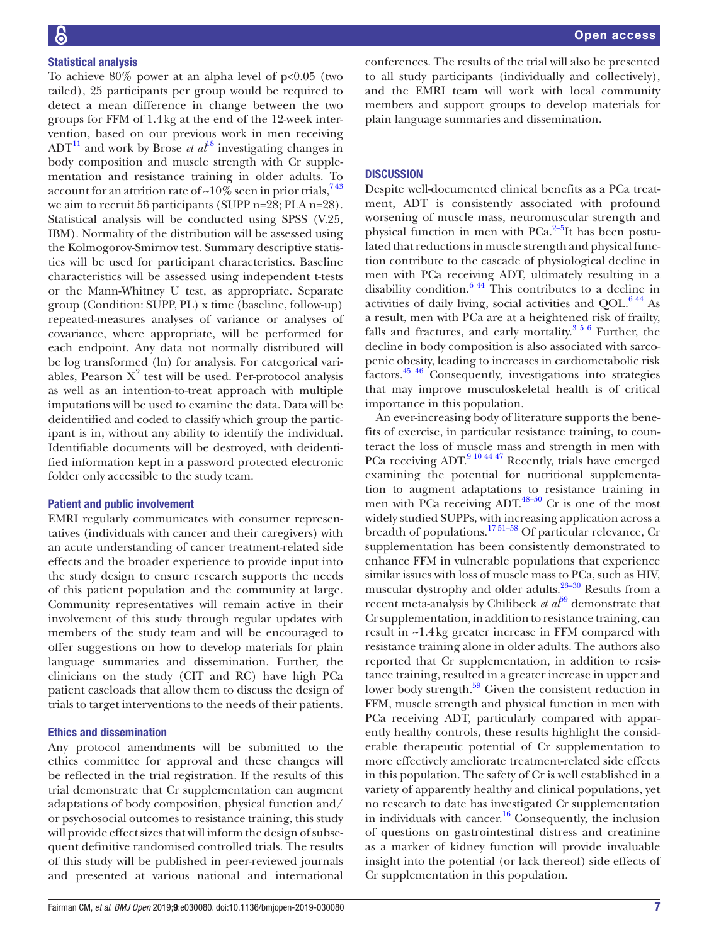# Statistical analysis

To achieve  $80\%$  power at an alpha level of p<0.05 (two tailed), 25 participants per group would be required to detect a mean difference in change between the two groups for FFM of 1.4kg at the end of the 12-week intervention, based on our previous work in men receiving  $ADT<sup>11</sup>$  and work by Brose *et al*<sup>[18](#page-7-9)</sup> investigating changes in body composition and muscle strength with Cr supplementation and resistance training in older adults. To account for an attrition rate of  $\sim 10\%$  seen in prior trials,  $743$ we aim to recruit 56 participants (SUPP n=28; PLA n=28). Statistical analysis will be conducted using SPSS (V.25, IBM). Normality of the distribution will be assessed using the Kolmogorov-Smirnov test. Summary descriptive statistics will be used for participant characteristics. Baseline characteristics will be assessed using independent t-tests or the Mann-Whitney U test, as appropriate. Separate group (Condition: SUPP, PL) x time (baseline, follow-up) repeated-measures analyses of variance or analyses of covariance, where appropriate, will be performed for each endpoint. Any data not normally distributed will be log transformed (ln) for analysis. For categorical variables, Pearson  $X^2$  test will be used. Per-protocol analysis as well as an intention-to-treat approach with multiple imputations will be used to examine the data. Data will be deidentified and coded to classify which group the participant is in, without any ability to identify the individual. Identifiable documents will be destroyed, with deidentified information kept in a password protected electronic folder only accessible to the study team.

#### Patient and public involvement

EMRI regularly communicates with consumer representatives (individuals with cancer and their caregivers) with an acute understanding of cancer treatment-related side effects and the broader experience to provide input into the study design to ensure research supports the needs of this patient population and the community at large. Community representatives will remain active in their involvement of this study through regular updates with members of the study team and will be encouraged to offer suggestions on how to develop materials for plain language summaries and dissemination. Further, the clinicians on the study (CIT and RC) have high PCa patient caseloads that allow them to discuss the design of trials to target interventions to the needs of their patients.

#### Ethics and dissemination

Any protocol amendments will be submitted to the ethics committee for approval and these changes will be reflected in the trial registration. If the results of this trial demonstrate that Cr supplementation can augment adaptations of body composition, physical function and/ or psychosocial outcomes to resistance training, this study will provide effect sizes that will inform the design of subsequent definitive randomised controlled trials. The results of this study will be published in peer-reviewed journals and presented at various national and international

conferences. The results of the trial will also be presented to all study participants (individually and collectively), and the EMRI team will work with local community members and support groups to develop materials for plain language summaries and dissemination.

# **DISCUSSION**

Despite well-documented clinical benefits as a PCa treatment, ADT is consistently associated with profound worsening of muscle mass, neuromuscular strength and physical function in men with  $PCa<sup>2-5</sup>It$  has been postulated that reductions in muscle strength and physical function contribute to the cascade of physiological decline in men with PCa receiving ADT, ultimately resulting in a disability condition.<sup>6 44</sup> This contributes to a decline in activities of daily living, social activities and  $QOL<sup>644</sup>$  As a result, men with PCa are at a heightened risk of frailty, falls and fractures, and early mortality. $356$  Further, the decline in body composition is also associated with sarcopenic obesity, leading to increases in cardiometabolic risk factors[.45 46](#page-8-8) Consequently, investigations into strategies that may improve musculoskeletal health is of critical importance in this population.

An ever-increasing body of literature supports the benefits of exercise, in particular resistance training, to counteract the loss of muscle mass and strength in men with PCa receiving ADT.<sup>9 10 44 47</sup> Recently, trials have emerged examining the potential for nutritional supplementation to augment adaptations to resistance training in men with PCa receiving ADT. $48-50$  Cr is one of the most widely studied SUPPs, with increasing application across a breadth of populations.<sup>1751–58</sup> Of particular relevance, Cr supplementation has been consistently demonstrated to enhance FFM in vulnerable populations that experience similar issues with loss of muscle mass to PCa, such as HIV, muscular dystrophy and older adults.<sup>[23–30](#page-7-7)</sup> Results from a recent meta-analysis by Chilibeck *et al*<sup>[59](#page-8-10)</sup> demonstrate that Cr supplementation, in addition to resistance training, can result in ~1.4kg greater increase in FFM compared with resistance training alone in older adults. The authors also reported that Cr supplementation, in addition to resistance training, resulted in a greater increase in upper and lower body strength.<sup>59</sup> Given the consistent reduction in FFM, muscle strength and physical function in men with PCa receiving ADT, particularly compared with apparently healthy controls, these results highlight the considerable therapeutic potential of Cr supplementation to more effectively ameliorate treatment-related side effects in this population. The safety of Cr is well established in a variety of apparently healthy and clinical populations, yet no research to date has investigated Cr supplementation in individuals with cancer.<sup>[16](#page-7-5)</sup> Consequently, the inclusion of questions on gastrointestinal distress and creatinine as a marker of kidney function will provide invaluable insight into the potential (or lack thereof) side effects of Cr supplementation in this population.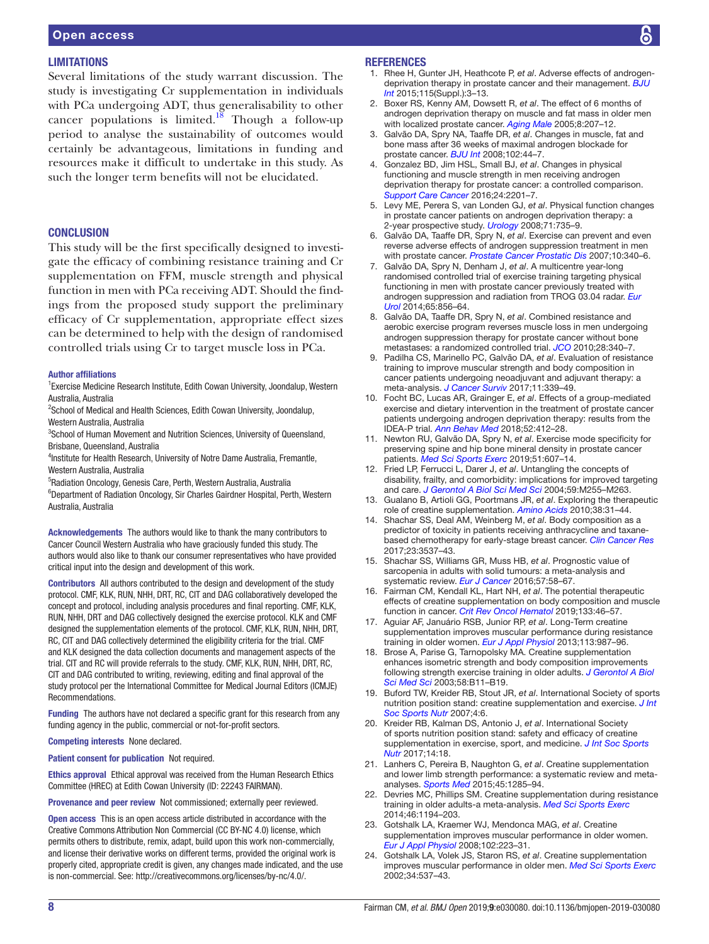# **LIMITATIONS**

Several limitations of the study warrant discussion. The study is investigating Cr supplementation in individuals with PCa undergoing ADT, thus generalisability to other cancer populations is limited.<sup>[18](#page-7-9)</sup> Though a follow-up period to analyse the sustainability of outcomes would certainly be advantageous, limitations in funding and resources make it difficult to undertake in this study. As such the longer term benefits will not be elucidated.

# **CONCLUSION**

This study will be the first specifically designed to investigate the efficacy of combining resistance training and Cr supplementation on FFM, muscle strength and physical function in men with PCa receiving ADT. Should the findings from the proposed study support the preliminary efficacy of Cr supplementation, appropriate effect sizes can be determined to help with the design of randomised controlled trials using Cr to target muscle loss in PCa.

#### Author affiliations

<sup>1</sup> Exercise Medicine Research Institute, Edith Cowan University, Joondalup, Western Australia, Australia

<sup>2</sup>School of Medical and Health Sciences, Edith Cowan University, Joondalup, Western Australia, Australia

<sup>3</sup>School of Human Movement and Nutrition Sciences, University of Queensland, Brisbane, Queensland, Australia

<sup>4</sup>Institute for Health Research, University of Notre Dame Australia, Fremantle, Western Australia, Australia

5 Radiation Oncology, Genesis Care, Perth, Western Australia, Australia <sup>6</sup>Department of Radiation Oncology, Sir Charles Gairdner Hospital, Perth, Western Australia, Australia

Acknowledgements The authors would like to thank the many contributors to Cancer Council Western Australia who have graciously funded this study. The authors would also like to thank our consumer representatives who have provided critical input into the design and development of this work.

Contributors All authors contributed to the design and development of the study protocol. CMF, KLK, RUN, NHH, DRT, RC, CIT and DAG collaboratively developed the concept and protocol, including analysis procedures and final reporting. CMF, KLK, RUN, NHH, DRT and DAG collectively designed the exercise protocol. KLK and CMF designed the supplementation elements of the protocol. CMF, KLK, RUN, NHH, DRT, RC, CIT and DAG collectively determined the eligibility criteria for the trial. CMF and KLK designed the data collection documents and management aspects of the trial. CIT and RC will provide referrals to the study. CMF, KLK, RUN, NHH, DRT, RC, CIT and DAG contributed to writing, reviewing, editing and final approval of the study protocol per the International Committee for Medical Journal Editors (ICMJE) Recommendations.

Funding The authors have not declared a specific grant for this research from any funding agency in the public, commercial or not-for-profit sectors.

#### Competing interests None declared.

Patient consent for publication Not required.

Ethics approval Ethical approval was received from the Human Research Ethics Committee (HREC) at Edith Cowan University (ID: 22243 FAIRMAN).

Provenance and peer review Not commissioned; externally peer reviewed.

Open access This is an open access article distributed in accordance with the Creative Commons Attribution Non Commercial (CC BY-NC 4.0) license, which permits others to distribute, remix, adapt, build upon this work non-commercially, and license their derivative works on different terms, provided the original work is properly cited, appropriate credit is given, any changes made indicated, and the use is non-commercial. See: [http://creativecommons.org/licenses/by-nc/4.0/.](http://creativecommons.org/licenses/by-nc/4.0/)

#### **REFERENCES**

- <span id="page-7-0"></span>1. Rhee H, Gunter JH, Heathcote P, *et al*. Adverse effects of androgendeprivation therapy in prostate cancer and their management. *[BJU](http://dx.doi.org/10.1111/bju.12964)  [Int](http://dx.doi.org/10.1111/bju.12964)* 2015;115(Suppl.):3–13.
- <span id="page-7-1"></span>2. Boxer RS, Kenny AM, Dowsett R, *et al*. The effect of 6 months of androgen deprivation therapy on muscle and fat mass in older men with localized prostate cancer. *[Aging Male](http://dx.doi.org/10.1080/13685530500361226)* 2005;8:207–12.
- <span id="page-7-12"></span>3. Galvão DA, Spry NA, Taaffe DR, *et al*. Changes in muscle, fat and bone mass after 36 weeks of maximal androgen blockade for prostate cancer. *[BJU Int](http://dx.doi.org/10.1111/j.1464-410X.2008.07539.x)* 2008;102:44–7.
- 4. Gonzalez BD, Jim HSL, Small BJ, *et al*. Changes in physical functioning and muscle strength in men receiving androgen deprivation therapy for prostate cancer: a controlled comparison. *[Support Care Cancer](http://dx.doi.org/10.1007/s00520-015-3016-y)* 2016;24:2201–7.
- 5. Levy ME, Perera S, van Londen GJ, *et al*. Physical function changes in prostate cancer patients on androgen deprivation therapy: a 2-year prospective study. *[Urology](http://dx.doi.org/10.1016/j.urology.2007.09.018)* 2008;71:735–9.
- <span id="page-7-2"></span>6. Galvão DA, Taaffe DR, Spry N, *et al*. Exercise can prevent and even reverse adverse effects of androgen suppression treatment in men with prostate cancer. *[Prostate Cancer Prostatic Dis](http://dx.doi.org/10.1038/sj.pcan.4500975)* 2007;10:340–6.
- <span id="page-7-3"></span>7. Galvão DA, Spry N, Denham J, *et al*. A multicentre year-long randomised controlled trial of exercise training targeting physical functioning in men with prostate cancer previously treated with androgen suppression and radiation from TROG 03.04 radar. *[Eur](http://dx.doi.org/10.1016/j.eururo.2013.09.041)  [Urol](http://dx.doi.org/10.1016/j.eururo.2013.09.041)* 2014;65:856–64.
- 8. Galvão DA, Taaffe DR, Spry N, *et al*. Combined resistance and aerobic exercise program reverses muscle loss in men undergoing androgen suppression therapy for prostate cancer without bone metastases: a randomized controlled trial. *[JCO](http://dx.doi.org/10.1200/JCO.2009.23.2488)* 2010;28:340–7.
- <span id="page-7-13"></span>9. Padilha CS, Marinello PC, Galvão DA, *et al*. Evaluation of resistance training to improve muscular strength and body composition in cancer patients undergoing neoadjuvant and adjuvant therapy: a meta-analysis. *[J Cancer Surviv](http://dx.doi.org/10.1007/s11764-016-0592-x)* 2017;11:339–49.
- 10. Focht BC, Lucas AR, Grainger E, *et al*. Effects of a group-mediated exercise and dietary intervention in the treatment of prostate cancer patients undergoing androgen deprivation therapy: results from the IDEA-P trial. *[Ann Behav Med](http://dx.doi.org/10.1093/abm/kax002)* 2018;52:412–28.
- <span id="page-7-11"></span>11. Newton RU, Galvão DA, Spry N, *et al*. Exercise mode specificity for preserving spine and hip bone mineral density in prostate cancer patients. *[Med Sci Sports Exerc](http://dx.doi.org/10.1249/MSS.0000000000001831)* 2019;51:607–14.
- <span id="page-7-4"></span>12. Fried LP, Ferrucci L, Darer J, *et al*. Untangling the concepts of disability, frailty, and comorbidity: implications for improved targeting and care. *[J Gerontol A Biol Sci Med Sci](http://dx.doi.org/10.1093/gerona/59.3.M255)* 2004;59:M255–M263.
- 13. Gualano B, Artioli GG, Poortmans JR, *et al*. Exploring the therapeutic role of creatine supplementation. *[Amino Acids](http://dx.doi.org/10.1007/s00726-009-0263-6)* 2010;38:31–44.
- 14. Shachar SS, Deal AM, Weinberg M, *et al*. Body composition as a predictor of toxicity in patients receiving anthracycline and taxanebased chemotherapy for early-stage breast cancer. *[Clin Cancer Res](http://dx.doi.org/10.1158/1078-0432.CCR-16-2266)* 2017;23:3537–43.
- 15. Shachar SS, Williams GR, Muss HB, *et al*. Prognostic value of sarcopenia in adults with solid tumours: a meta-analysis and systematic review. *[Eur J Cancer](http://dx.doi.org/10.1016/j.ejca.2015.12.030)* 2016;57:58–67.
- <span id="page-7-5"></span>16. Fairman CM, Kendall KL, Hart NH, *et al*. The potential therapeutic effects of creatine supplementation on body composition and muscle function in cancer. *[Crit Rev Oncol Hematol](http://dx.doi.org/10.1016/j.critrevonc.2018.11.003)* 2019;133:46–57.
- <span id="page-7-6"></span>17. Aguiar AF, Januário RSB, Junior RP, *et al*. Long-Term creatine supplementation improves muscular performance during resistance training in older women. *[Eur J Appl Physiol](http://dx.doi.org/10.1007/s00421-012-2514-6)* 2013;113:987–96.
- <span id="page-7-9"></span>18. Brose A, Parise G, Tarnopolsky MA. Creatine supplementation enhances isometric strength and body composition improvements following strength exercise training in older adults. *[J Gerontol A Biol](http://dx.doi.org/10.1093/gerona/58.1.B11)  [Sci Med Sci](http://dx.doi.org/10.1093/gerona/58.1.B11)* 2003;58:B11–B19.
- <span id="page-7-8"></span>19. Buford TW, Kreider RB, Stout JR, *et al*. International Society of sports nutrition position stand: creatine supplementation and exercise. *[J Int](http://dx.doi.org/10.1186/1550-2783-4-6)  [Soc Sports Nutr](http://dx.doi.org/10.1186/1550-2783-4-6)* 2007;4:6.
- <span id="page-7-10"></span>20. Kreider RB, Kalman DS, Antonio J, *et al*. International Society of sports nutrition position stand: safety and efficacy of creatine supplementation in exercise, sport, and medicine. *[J Int Soc Sports](http://dx.doi.org/10.1186/s12970-017-0173-z)  [Nutr](http://dx.doi.org/10.1186/s12970-017-0173-z)* 2017;14:18.
- 21. Lanhers C, Pereira B, Naughton G, *et al*. Creatine supplementation and lower limb strength performance: a systematic review and metaanalyses. *[Sports Med](http://dx.doi.org/10.1007/s40279-015-0337-4)* 2015;45:1285–94.
- 22. Devries MC, Phillips SM. Creatine supplementation during resistance training in older adults-a meta-analysis. *[Med Sci Sports Exerc](http://dx.doi.org/10.1249/MSS.0000000000000220)* 2014;46:1194–203.
- <span id="page-7-7"></span>23. Gotshalk LA, Kraemer WJ, Mendonca MAG, *et al*. Creatine supplementation improves muscular performance in older women. *[Eur J Appl Physiol](http://dx.doi.org/10.1007/s00421-007-0580-y)* 2008;102:223–31.
- 24. Gotshalk LA, Volek JS, Staron RS, *et al*. Creatine supplementation improves muscular performance in older men. *[Med Sci Sports Exerc](http://dx.doi.org/10.1097/00005768-200203000-00023)* 2002;34:537–43.